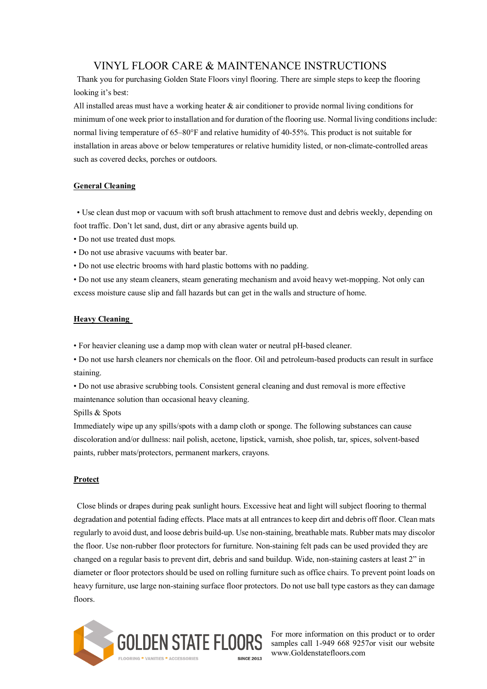# VINYL FLOOR CARE & MAINTENANCE INSTRUCTIONS

Thank you for purchasing Golden State Floors vinyl flooring. There are simple steps to keep the flooring looking it's best:

All installed areas must have a working heater & air conditioner to provide normal living conditions for minimum of one week prior to installation and for duration of the flooring use. Normal living conditions include: normal living temperature of 65–80°F and relative humidity of 40-55%. This product is not suitable for installation in areas above or below temperatures or relative humidity listed, or non-climate-controlled areas such as covered decks, porches or outdoors.

#### **General Cleaning**

• Use clean dust mop or vacuum with soft brush attachment to remove dust and debris weekly, depending on foot traffic. Don't let sand, dust, dirt or any abrasive agents build up.

- Do not use treated dust mops.
- Do not use abrasive vacuums with beater bar.
- Do not use electric brooms with hard plastic bottoms with no padding.

• Do not use any steam cleaners, steam generating mechanism and avoid heavy wet-mopping. Not only can excess moisture cause slip and fall hazards but can get in the walls and structure of home.

### **Heavy Cleaning**

• For heavier cleaning use a damp mop with clean water or neutral pH-based cleaner.

• Do not use harsh cleaners nor chemicals on the floor. Oil and petroleum-based products can result in surface staining.

• Do not use abrasive scrubbing tools. Consistent general cleaning and dust removal is more effective maintenance solution than occasional heavy cleaning.

Spills & Spots

Immediately wipe up any spills/spots with a damp cloth or sponge. The following substances can cause discoloration and/or dullness: nail polish, acetone, lipstick, varnish, shoe polish, tar, spices, solvent-based paints, rubber mats/protectors, permanent markers, crayons.

#### **Protect**

Close blinds or drapes during peak sunlight hours. Excessive heat and light will subject flooring to thermal degradation and potential fading effects. Place mats at all entrances to keep dirt and debris off floor. Clean mats regularly to avoid dust, and loose debris build-up. Use non-staining, breathable mats. Rubber mats may discolor the floor. Use non-rubber floor protectors for furniture. Non-staining felt pads can be used provided they are changed on a regular basis to prevent dirt, debris and sand buildup. Wide, non-staining casters at least 2" in diameter or floor protectors should be used on rolling furniture such as office chairs. To prevent point loads on heavy furniture, use large non-staining surface floor protectors. Do not use ball type castors as they can damage floors.



For more information on this product or to order samples call 1-949 668 9257or visit our website www.Goldenstatefloors.com